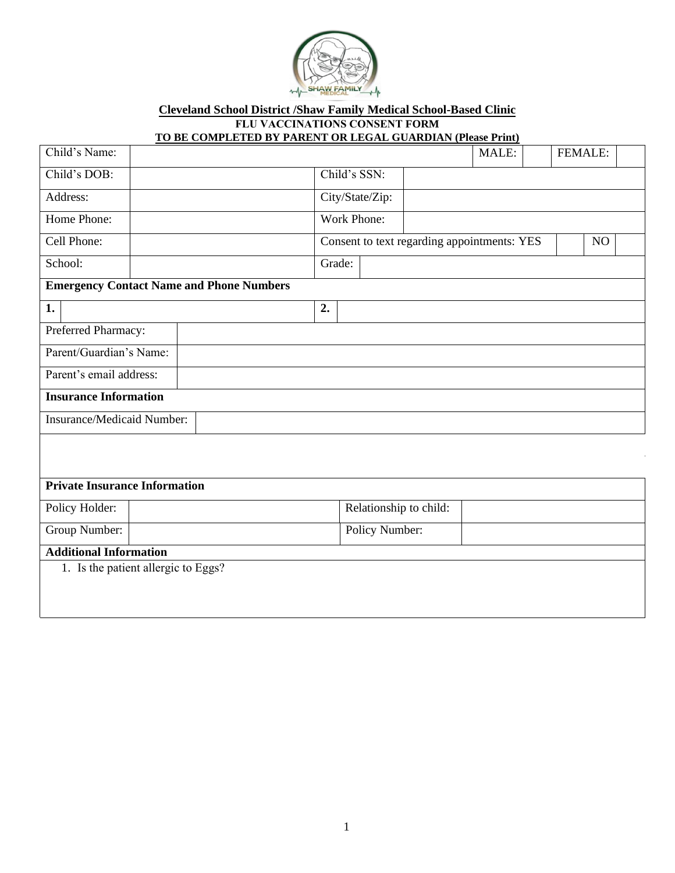

**Cleveland School District /Shaw Family Medical School-Based Clinic FLU VACCINATIONS CONSENT FORM**

## **TO BE COMPLETED BY PARENT OR LEGAL GUARDIAN (Please Print)**

| Child's Name:                                   |  |  |                                                   |              |                |                        | MALE: |  | FEMALE: |  |
|-------------------------------------------------|--|--|---------------------------------------------------|--------------|----------------|------------------------|-------|--|---------|--|
| Child's DOB:                                    |  |  |                                                   | Child's SSN: |                |                        |       |  |         |  |
| Address:                                        |  |  | City/State/Zip:                                   |              |                |                        |       |  |         |  |
| Home Phone:                                     |  |  | Work Phone:                                       |              |                |                        |       |  |         |  |
| Cell Phone:                                     |  |  | Consent to text regarding appointments: YES<br>NO |              |                |                        |       |  |         |  |
| School:                                         |  |  |                                                   | Grade:       |                |                        |       |  |         |  |
| <b>Emergency Contact Name and Phone Numbers</b> |  |  |                                                   |              |                |                        |       |  |         |  |
| 1.                                              |  |  | 2.                                                |              |                |                        |       |  |         |  |
| Preferred Pharmacy:                             |  |  |                                                   |              |                |                        |       |  |         |  |
| Parent/Guardian's Name:                         |  |  |                                                   |              |                |                        |       |  |         |  |
| Parent's email address:                         |  |  |                                                   |              |                |                        |       |  |         |  |
| <b>Insurance Information</b>                    |  |  |                                                   |              |                |                        |       |  |         |  |
| Insurance/Medicaid Number:                      |  |  |                                                   |              |                |                        |       |  |         |  |
|                                                 |  |  |                                                   |              |                |                        |       |  |         |  |
|                                                 |  |  |                                                   |              |                |                        |       |  |         |  |
| <b>Private Insurance Information</b>            |  |  |                                                   |              |                |                        |       |  |         |  |
| Policy Holder:                                  |  |  |                                                   |              |                | Relationship to child: |       |  |         |  |
| Group Number:                                   |  |  |                                                   |              | Policy Number: |                        |       |  |         |  |
| <b>Additional Information</b>                   |  |  |                                                   |              |                |                        |       |  |         |  |
| 1. Is the patient allergic to Eggs?             |  |  |                                                   |              |                |                        |       |  |         |  |
|                                                 |  |  |                                                   |              |                |                        |       |  |         |  |
|                                                 |  |  |                                                   |              |                |                        |       |  |         |  |